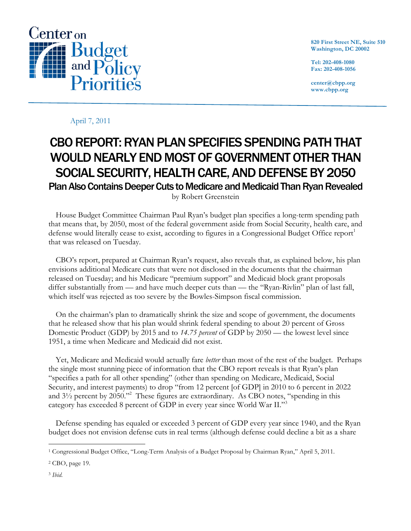

**820 First Street NE, Suite 510 Washington, DC 20002**

**Tel: 202-408-1080 Fax: 202-408-1056**

**center@cbpp.org www.cbpp.org**

## April 7, 2011

## CBO REPORT: RYAN PLAN SPECIFIES SPENDING PATH THAT WOULD NEARLY END MOST OF GOVERNMENT OTHER THAN SOCIAL SECURITY, HEALTH CARE, AND DEFENSE BY 2050 Plan Also Contains Deeper Cuts to Medicare and Medicaid Than Ryan Revealed

by Robert Greenstein

House Budget Committee Chairman Paul Ryan's budget plan specifies a long-term spending path that means that, by 2050, most of the federal government aside from Social Security, health care, and defense would literally cease to exist, according to figures in a Congressional Budget Office report<sup>1</sup> that was released on Tuesday.

CBO's report, prepared at Chairman Ryan's request, also reveals that, as explained below, his plan envisions additional Medicare cuts that were not disclosed in the documents that the chairman released on Tuesday; and his Medicare "premium support" and Medicaid block grant proposals differ substantially from — and have much deeper cuts than — the "Ryan-Rivlin" plan of last fall, which itself was rejected as too severe by the Bowles-Simpson fiscal commission.

On the chairman's plan to dramatically shrink the size and scope of government, the documents that he released show that his plan would shrink federal spending to about 20 percent of Gross Domestic Product (GDP) by 2015 and to *14.75 percent* of GDP by 2050 — the lowest level since 1951, a time when Medicare and Medicaid did not exist.

Yet, Medicare and Medicaid would actually fare *better* than most of the rest of the budget. Perhaps the single most stunning piece of information that the CBO report reveals is that Ryan's plan "specifies a path for all other spending" (other than spending on Medicare, Medicaid, Social Security, and interest payments) to drop "from 12 percent [of GDP] in 2010 to 6 percent in 2022 and 3½ percent by 2050."2 These figures are extraordinary. As CBO notes, "spending in this category has exceeded 8 percent of GDP in every year since World War II."3

Defense spending has equaled or exceeded 3 percent of GDP every year since 1940, and the Ryan budget does not envision defense cuts in real terms (although defense could decline a bit as a share

 <sup>1</sup> Congressional Budget Office, "Long-Term Analysis of a Budget Proposal by Chairman Ryan," April 5, 2011.

<sup>2</sup> CBO, page 19.

<sup>3</sup> *Ibid.*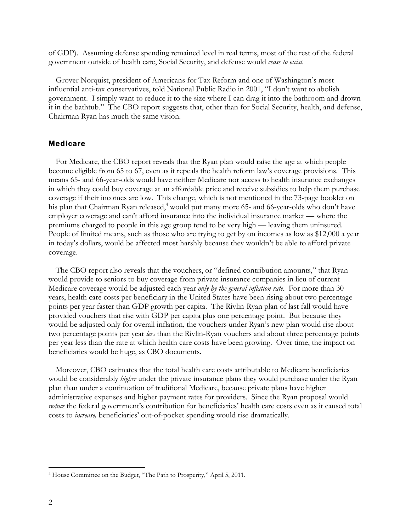of GDP). Assuming defense spending remained level in real terms, most of the rest of the federal government outside of health care, Social Security, and defense would *cease to exist.*

Grover Norquist, president of Americans for Tax Reform and one of Washington's most influential anti-tax conservatives, told National Public Radio in 2001, "I don't want to abolish government. I simply want to reduce it to the size where I can drag it into the bathroom and drown it in the bathtub." The CBO report suggests that, other than for Social Security, health, and defense, Chairman Ryan has much the same vision.

## Medicare

For Medicare, the CBO report reveals that the Ryan plan would raise the age at which people become eligible from 65 to 67, even as it repeals the health reform law's coverage provisions. This means 65- and 66-year-olds would have neither Medicare nor access to health insurance exchanges in which they could buy coverage at an affordable price and receive subsidies to help them purchase coverage if their incomes are low. This change, which is not mentioned in the 73-page booklet on his plan that Chairman Ryan released, <sup>4</sup> would put many more 65- and 66-year-olds who don't have employer coverage and can't afford insurance into the individual insurance market — where the premiums charged to people in this age group tend to be very high — leaving them uninsured. People of limited means, such as those who are trying to get by on incomes as low as \$12,000 a year in today's dollars, would be affected most harshly because they wouldn't be able to afford private coverage.

The CBO report also reveals that the vouchers, or "defined contribution amounts," that Ryan would provide to seniors to buy coverage from private insurance companies in lieu of current Medicare coverage would be adjusted each year *only by the general inflation rate*. For more than 30 years, health care costs per beneficiary in the United States have been rising about two percentage points per year faster than GDP growth per capita. The Rivlin-Ryan plan of last fall would have provided vouchers that rise with GDP per capita plus one percentage point. But because they would be adjusted only for overall inflation, the vouchers under Ryan's new plan would rise about two percentage points per year *less* than the Rivlin-Ryan vouchers and about three percentage points per year less than the rate at which health care costs have been growing. Over time, the impact on beneficiaries would be huge, as CBO documents.

Moreover, CBO estimates that the total health care costs attributable to Medicare beneficiaries would be considerably *higher* under the private insurance plans they would purchase under the Ryan plan than under a continuation of traditional Medicare, because private plans have higher administrative expenses and higher payment rates for providers. Since the Ryan proposal would *reduce* the federal government's contribution for beneficiaries' health care costs even as it caused total costs to *increase,* beneficiaries' out-of-pocket spending would rise dramatically.

 <sup>4</sup> House Committee on the Budget, "The Path to Prosperity," April 5, 2011.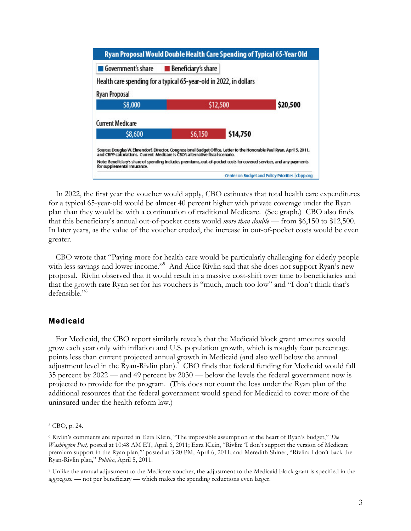| Ryan Proposal Would Double Health Care Spending of Typical 65-Year Old                                                                                                                                                                                                                                                                                        |                                                   |          |  |  |
|---------------------------------------------------------------------------------------------------------------------------------------------------------------------------------------------------------------------------------------------------------------------------------------------------------------------------------------------------------------|---------------------------------------------------|----------|--|--|
| Government's share                                                                                                                                                                                                                                                                                                                                            | <b>Beneficiary's share</b>                        |          |  |  |
| Health care spending for a typical 65-year-old in 2022, in dollars                                                                                                                                                                                                                                                                                            |                                                   |          |  |  |
| <b>Ryan Proposal</b>                                                                                                                                                                                                                                                                                                                                          |                                                   |          |  |  |
| \$8,000                                                                                                                                                                                                                                                                                                                                                       |                                                   | \$12,500 |  |  |
| <b>Current Medicare</b>                                                                                                                                                                                                                                                                                                                                       |                                                   |          |  |  |
| \$8,600                                                                                                                                                                                                                                                                                                                                                       | \$6,150                                           | \$14,750 |  |  |
| Source: Douglas W. Elmendorf, Director, Congressional Budget Office, Letter to the Honorable Paul Ryan, April 5, 2011,<br>and CBPP calculations. Current Medicare is CBO's alternative fiscal scenario.<br>Note: Beneficiary's share of spending includes premiums, out-of-pocket costs for covered services, and any payments<br>for supplemental insurance. |                                                   |          |  |  |
|                                                                                                                                                                                                                                                                                                                                                               | Center on Budget and Policy Priorities   cbpp.org |          |  |  |

In 2022, the first year the voucher would apply, CBO estimates that total health care expenditures for a typical 65-year-old would be almost 40 percent higher with private coverage under the Ryan plan than they would be with a continuation of traditional Medicare. (See graph.) CBO also finds that this beneficiary's annual out-of-pocket costs would *more than double* — from \$6,150 to \$12,500. In later years, as the value of the voucher eroded, the increase in out-of-pocket costs would be even greater.

CBO wrote that "Paying more for health care would be particularly challenging for elderly people with less savings and lower income."<sup>5</sup> And Alice Rivlin said that she does not support Ryan's new proposal. Rivlin observed that it would result in a massive cost-shift over time to beneficiaries and that the growth rate Ryan set for his vouchers is "much, much too low" and "I don't think that's defensible."6

## Medicaid

For Medicaid, the CBO report similarly reveals that the Medicaid block grant amounts would grow each year only with inflation and U.S. population growth, which is roughly four percentage points less than current projected annual growth in Medicaid (and also well below the annual adjustment level in the Ryan-Rivlin plan).<sup>7</sup> CBO finds that federal funding for Medicaid would fall 35 percent by 2022 — and 49 percent by 2030 — below the levels the federal government now is projected to provide for the program. (This does not count the loss under the Ryan plan of the additional resources that the federal government would spend for Medicaid to cover more of the uninsured under the health reform law.)

 <sup>5</sup> CBO, p. 24.

<sup>6</sup> Rivlin's comments are reported in Ezra Klein, "The impossible assumption at the heart of Ryan's budget," *The Washington Post,* posted at 10:48 AM ET, April 6, 2011; Ezra Klein, "Rivlin: 'I don't support the version of Medicare premium support in the Ryan plan,'" posted at 3:20 PM, April 6, 2011; and Meredith Shiner, "Rivlin: I don't back the Ryan-Rivlin plan," *Politico*, April 5, 2011.

<sup>7</sup> Unlike the annual adjustment to the Medicare voucher, the adjustment to the Medicaid block grant is specified in the aggregate — not per beneficiary — which makes the spending reductions even larger.